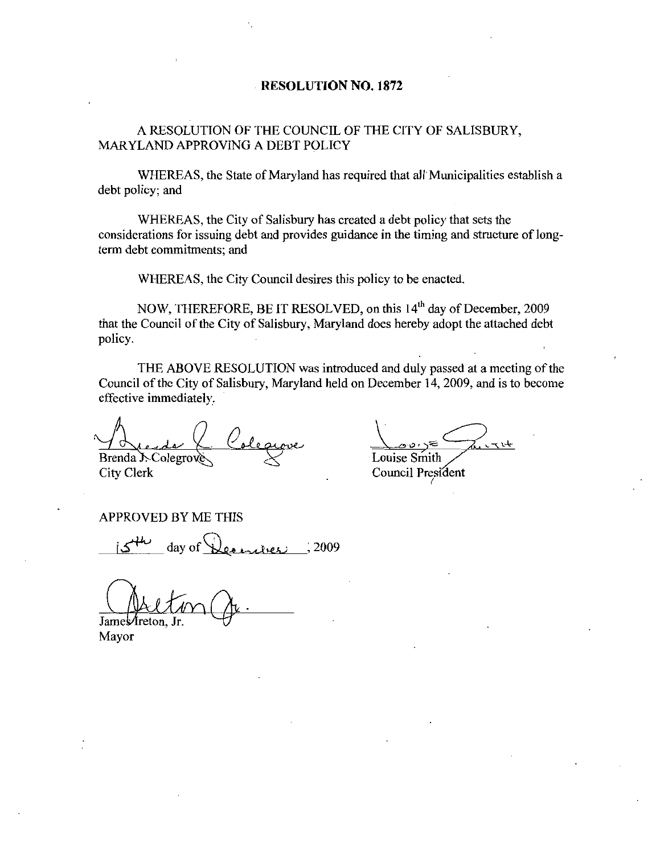#### RESOLUTION NO. 1872

A RESOLUTION OF THE COUNCIL OF THE CITY OF SALISBURY MARYLAND APPROVING A DEBT POLICY

WHEREAS, the State of Maryland has required that all Municipalities establish a debt policy; and

WHEREAS, the City of Salisbury has created a debt policy that sets the considerations for issuing debt and provides guidance in the timing and structure of long term debt commitments; and

WHEREAS, the City Council desires this policy to be enacted.

NOW, THEREFORE, BE IT RESOLVED, on this 14<sup>th</sup> day of December, 2009 that the Council of the City of Salisbury, Maryland does hereby adopt the attached debt policy

THE ABOVE RESOLUTION was introduced and duly passed at <sup>a</sup> meeting of the Council of the City of Salisbury, Maryland held on December 14, 2009, and is to become effective immediately

Brenda J. Colegrov City Clerk Council President de la Coleance<br>mda Scolegrove<br>y Clerk<br>PROVED BY ME THIS<br>js the day of Denniers : 2009

ش<u>خریت کے ت</u><br>Louise Smith

APPROVED BY ME THIS

James/freton. Jr

Mayor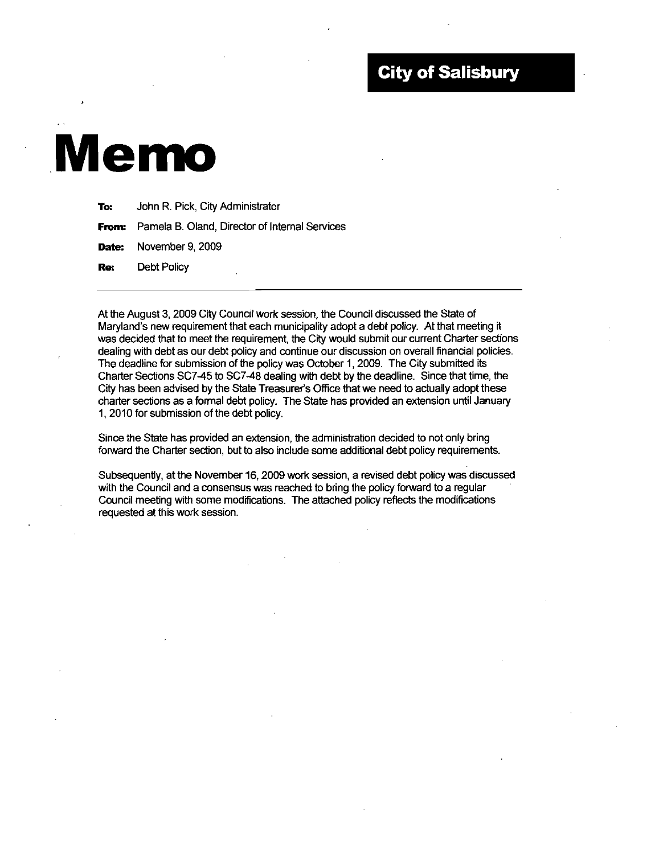#### **City of Salisbury**

# Memo

| To: | John R. Pick, City Administrator                            |
|-----|-------------------------------------------------------------|
|     | <b>From:</b> Pamela B. Oland, Director of Internal Services |
|     | <b>Date:</b> November 9, 2009                               |
|     | <b>Re:</b> Debt Policy<br>٠                                 |

At the August 3 2009 City Council work session the Council discussed the State of Re: Debt Policy<br>
Maryland's new requirement that each municipality adopt a debt policy. At that meeting it<br>
Maryland's new requirement that each municipality adopt a debt policy. At that meeting it<br>
was decided that to mee was decided that to meet the requirement the City would submit our current Charter sections dealing with debt as our debt policy and continue our discussion on overall financial policies. The deadline for submission of the policy was October 1, 2009. The City submitted its<br>Charter Sections SC7-45 to SC7-48 dealing with debt by the deadline. Since that time, the Maryland's new requirement that each municipality adopt a debt policy. At that meeting it was decided that to meet the requirement, the City would submit our current Charter sectio dealing with debt as our debt policy and At the August 3, 2009 City Council work session, the Council discussed the State of Maryland's new requirement that each municipality adopt a debt policy. At that meeting it was decided that to meet the requirement, the Ci charter sections as a formal debt policy. The State has provided an extension until January 1, 2010 for submission of the debt policy.

Since the State has provided an extension the administration decided to not only bring forward the Charter section, but to also include some additional debt policy requirements.

Subsequently, at the November 16, 2009 work session, a revised debt policy was discussed with the Council and a consensus was reached to bring the policy forward to a regular Council meeting with some modifications. The attached policy reflects the modifications requested at this work session.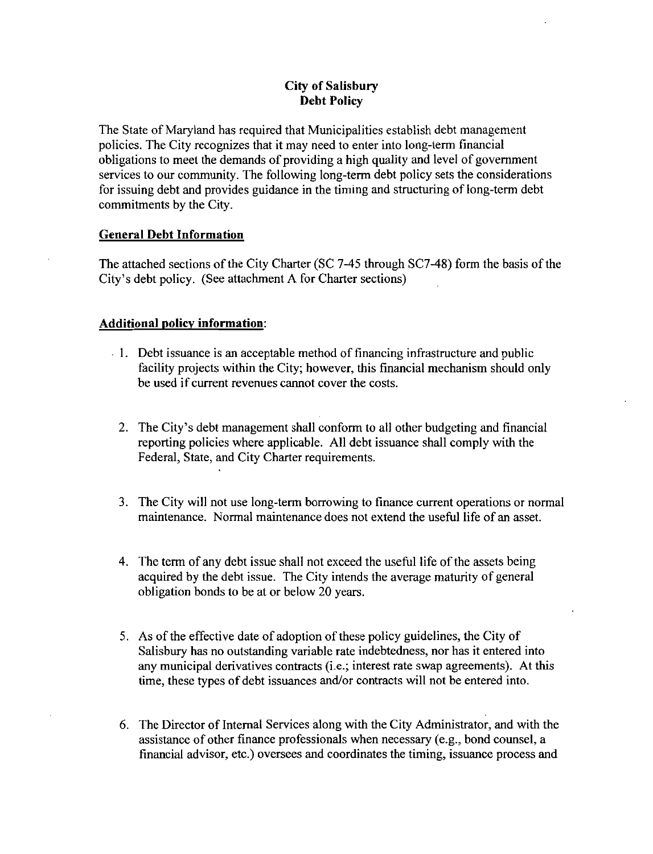#### City of Salisbury Debt Policy

The State of Maryland has required that Municipalities establish debt management policies The City recognizes that it may need to enter into long term financial obligations to meet the demands of providing a high quality and level of government services to our community. The following long-term debt policy sets the considerations for issuing debt and provides guidance in the timing and structuring of long term debt commitments by the City

#### General Debt Information

The attached sections of the City Charter (SC 7-45 through SC7-48) form the basis of the City's debt policy. (See attachment A for Charter sections)

#### Additional policy information

- 1 Debt issuance is an acceptable method of financing infrastructure and public facility projects within the City; however, this financial mechanism should only be used if current revenues cannot cover the costs.
	- 2. The City's debt management shall conform to all other budgeting and financial reporting policies where applicable. All debt issuance shall comply with the Federal, State, and City Charter requirements.
	- 3. The City will not use long-term borrowing to finance current operations or normal maintenance Normal maintenance does not extend the useful life of an asset
	- 4 The term of any debt issue shall not exceed the useful life of the assets being acquired by the debt issue. The City intends the average maturity of general obligation bonds to be at or below 20 years
	- 5. As of the effective date of adoption of these policy guidelines, the City of Salisbury has no outstanding variable rate indebtedness, nor has it entered into obligation bonds to be at or below 20 years.<br>As of the effective date of adoption of these policy guidelines, the City of<br>Salisbury has no outstanding variable rate indebtedness, nor has it entered into<br>any municipal deriv
	- 6 The Director of Internal Services along with the City Administrator and with the assistance of other finance professionals when necessary (e.g., bond counsel, a financial advisor, etc.) oversees and coordinates the timing, issuance process and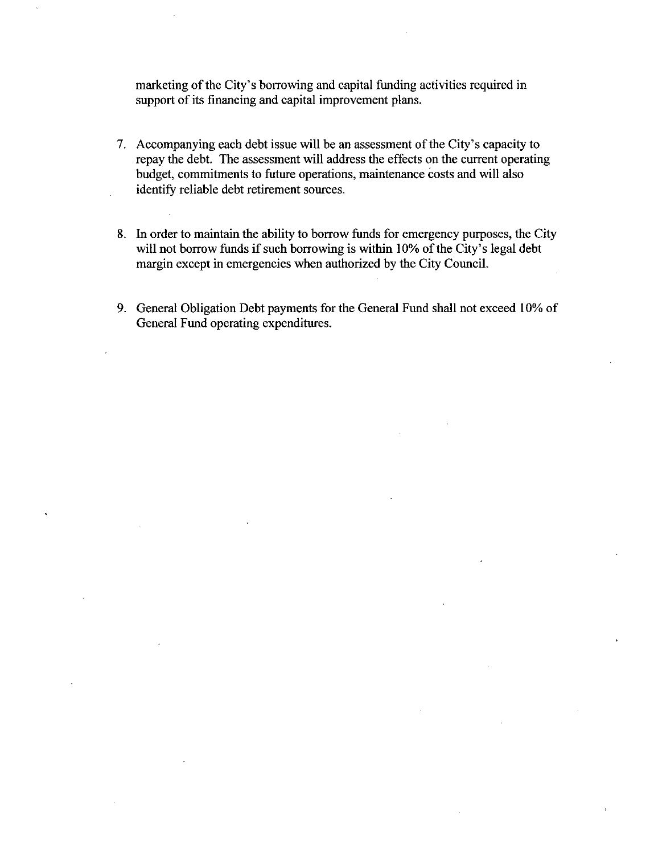marketing of the City's borrowing and capital funding activities required in support of its financing and capital improvement plans.

- 7. Accompanying each debt issue will be an assessment of the City's capacity to repay the debt. The assessment will address the effects on the current operating budget, commitments to future operations, maintenance costs and will also identify reliable debt retirement sources
- 8. In order to maintain the ability to borrow funds for emergency purposes, the City will not borrow funds if such borrowing is within 10% of the City's legal debt mazgin except in emergencies when authorized by the City Council
- 9. General Obligation Debt payments for the General Fund shall not exceed 10% of General Fund operating expenditures.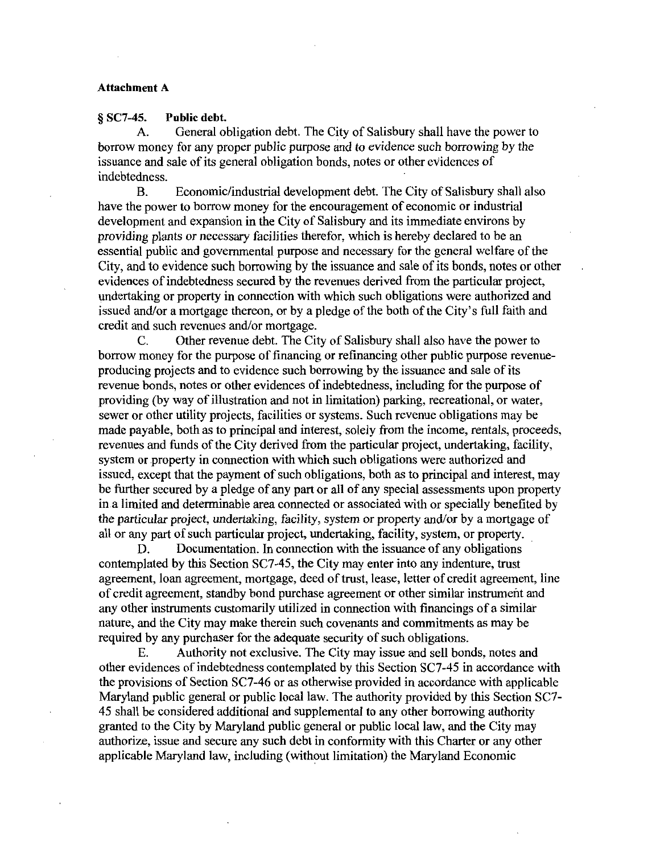#### Attachment A

## $\S SC7-45.$  Public debt.<br>A. General of

General obligation debt. The City of Salisbury shall have the power to borrow money for any proper public purpose and to evidence such borrowing by the issuance and sale of its general obligation bonds, notes or other evidences of indebtedness

B. Economic/industrial development debt. The City of Salisbury shall also have the power to borrow money for the encouragement of economic or industrial development and expansion in the City of Salisbury and its immediate environs by providing plants or necessary facilities therefor, which is hereby declared to be an essential public and governmental purpose and necessazy for the general welfare of the City, and to evidence such borrowing by the issuance and sale of its bonds, notes or other evidences of indebtedness secured by the revenues derived from the particular project, undertaking or property in connection with which such obligations were authorized and issued and or amortgage thereon, or by a pledge of the both of the City, needs of our evidences of indebtedness secured by the revenues derived from the particular project, undertaking or property in connection with which issued and/or a mortgage thereon, or by a pledge of the both of the City's full faith and credit and such revenues and/or mortgage.<br>C. Other revenue debt. The City of Salisbury shall also have the power to

Other revenue debt. The City of Salisbury shall also have the power to borrow money for the purpose of financing or refinancing other public purpose revenue producing projects and to evidence such borrowing by the issuance and sale of its revenue bonds, notes or other evidences of indebtedness, including for the purpose of providing by way of illustration and not in limitation parking recreational or water sewer or other utility projects, facilities or systems. Such revenue obligations may be made payable, both as to principal and interest, solely from the income, rentals, proceeds, revenues and funds of the City derived from the particular project, undertaking, facility, system or property in connection with which such obligations were authorized and issued, except that the payment of such obligations, both as to principal and interest, may be further secured by apledge of any part or all of any special assessments upon property in a limited and determinable area connected or associated with or specially benefited by the particular project, undertaking, facility, system or property and/or by a mortgage of all or any part of such particular project, undertaking, facility, system, or property.

D. Documentation. In connection with the issuance of any obligations contemplated by this Section  $SC7-45$ , the City may enter into any indenture, trust agreement, loan agreement, mortgage, deed of trust, lease, letter of credit agreement, line of credit agreement standby bond purchase agreement or other similar instrument and any other instruments customarily utilized in connection with financings of <sup>a</sup> similar nature, and the City may make therein such covenants and commitments as may be required by any purchaser for the adequate security of such obligations

Authority not exclusive. The City may issue and sell bonds, notes and other evidences of indebtedness contemplated by this Section SC7-45 in accordance with the provisions of Section SC7-46 or as otherwise provided in accordance with applicable Maryland public general or public local law. The authority provided by this Section SC7-<sup>45</sup> shall be considered additional and supplemental to any other borrowing authority granted to the City by Maryland public general or public local law and the City may authorize, issue and secure any such debt in conformity with this Charter or any other applicable Maryland law, including (without limitation) the Maryland Economic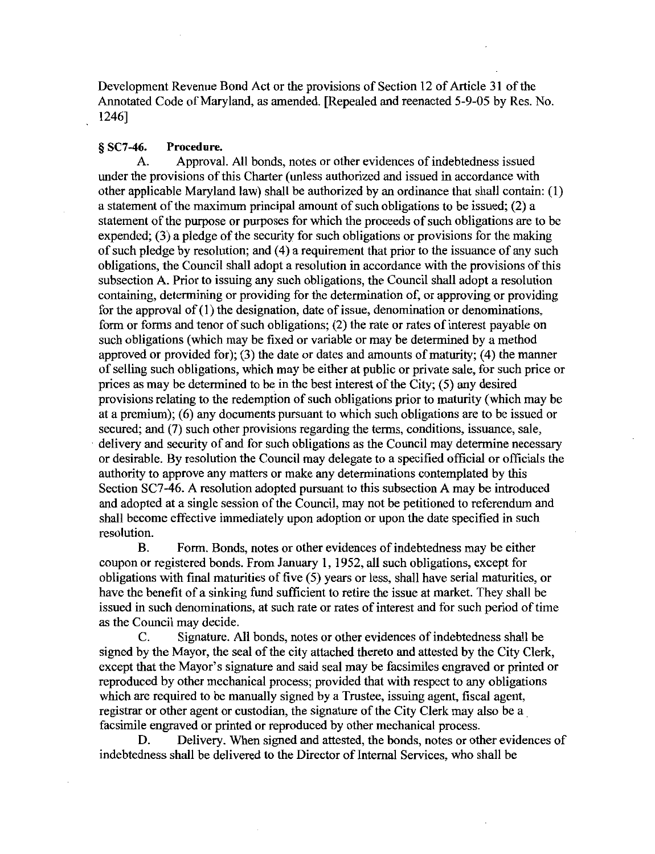Development Revenue Bond Act or the provisions of Section 12 of Article 31 of the Development Revenue Bond Act or the provisions of Section 12 of Article 31 of the<br>Annotated Code of Maryland, as amended. [Repealed and reenacted 5-9-05 by Res. No. 1246

## § SC7-46. Procedure.<br>A. Approva

Approval. All bonds, notes or other evidences of indebtedness issued under the provisions of this Charter (unless authorized and issued in accordance with other applicable Maryland law) shall be authorized by an ordinance that shall contain:  $(1)$ a statement of the maximum principal amount of such obligations to be issued;  $(2)$  a statement of the purpose or purposes for which the proceeds of such obligations are to be expended;  $(3)$  a pledge of the security for such obligations or provisions for the making of such pledge by resolution; and  $(4)$  a requirement that prior to the issuance of any such  $\frac{1}{2}$ obligations the Council shall adopt a resolution in accordance with the provisions of this subsection A. Prior to issuing any such obligations, the Council shall adopt a resolution containing, determining or providing for the determination of, or approving or providing for the approval of  $(1)$  the designation, date of issue, denomination or denominations, form or forms and tenor of such obligations; (2) the rate or rates of interest payable on such obligations (which may be fixed or variable or may be determined by a method approved or provided for); (3) the date or dates and amounts of maturity; (4) the manner of selling such obligations, which may be either at public or private sale, for such price or prices as may be determined to be in the best interest of the City;  $(5)$  any desired provisions relating to the redemption of such obligations prior to maturity (which may be at a premium);  $(6)$  any documents pursuant to which such obligations are to be issued or secured; and (7) such other provisions regarding the terms, conditions, issuance, sale, delivery and security of and for such obligations as the Council may determine necessary or desirable By resolution the Council may delegate to a specified official orofficials the authority to approve any matters or make any determinations contemplated by this Section SC7-46. A resolution adopted pursuant to this subsection A may be introduced and adopted at a single session of the Council, may not be petitioned to referendum and shall become effective immediately upon adoption or upon the date specified in such resolution

B. Form. Bonds, notes or other evidences of indebtedness may be either coupon or registered bonds. From January 1, 1952, all such obligations, except for obligations with final maturities of five  $(5)$  years or less, shall have serial maturities, or have the benefit of a sinking fund sufficient to retire the issue at market. They shall be issued in such denominations at such rate or rates of interest and for such period of time as the Council may decide

C. Signature. All bonds, notes or other evidences of indebtedness shall be signed by the Mayor, the seal of the city attached thereto and attested by the City Clerk, except that the Mayor's signature and said seal may be facsimiles engraved or printed or reproduced by other mechanical process; provided that with respect to any obligations which are required to be manually signed by a Trustee, issuing agent, fiscal agent, registrar or other agent or custodian, the signature of the City Clerk may also be a facsimile engraved or printed or reproduced by other mechanical process.<br>D. Delivery, When signed and attested, the bonds, notes or other

Delivery. When signed and attested, the bonds, notes or other evidences of indebtedness shall be delivered to the Director of Internal Services who shall be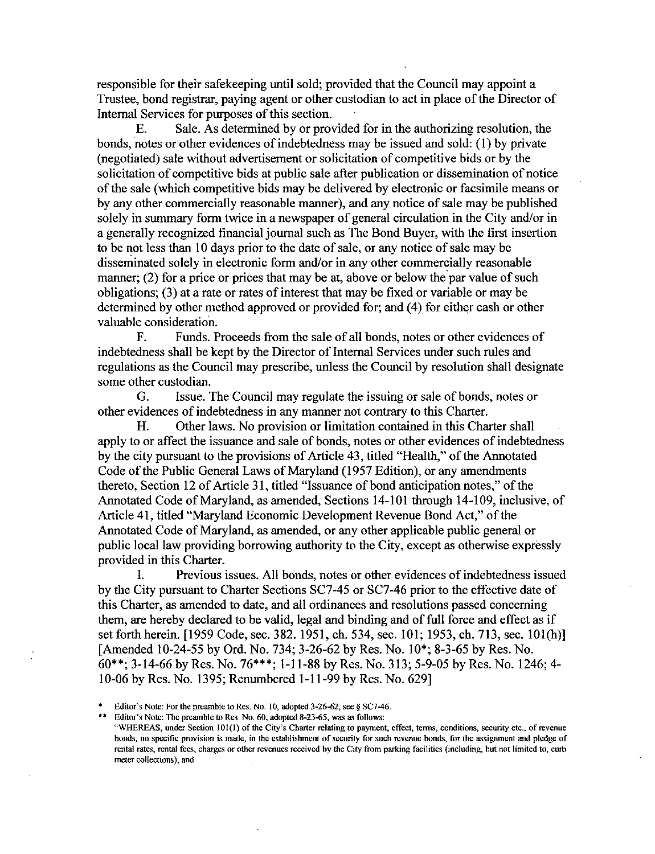responsible for their safekeeping until sold; provided that the Council may appoint a Trustee, bond registrar, paying agent or other custodian to act in place of the Director of Internal Services for purposes of this section.

E. Sale. As determined by or provided for in the authorizing resolution, the bonds, notes or other evidences of indebtedness may be issued and sold:  $(1)$  by private (negotiated) sale without advertisement or solicitation of competitive bids or by the solicitation of competitive bids at public sale after publication or dissemination of notice of the sale which competitive bids maybe delivered by electronic or facsimile means or by any other commercially reasonable manner), and any notice of sale may be published solely in summary form twice in a newspaper of general circulation in the City and/or in a generally recognized financial journal such as The Bond Buyer, with the first insertion to be not less than 10 days prior to the date of sale, or any notice of sale may be disseminated solely in electronic form and/or in any other commercially reasonable manner;  $(2)$  for a price or prices that may be at, above or below the par value of such obligations;  $(3)$  at a rate or rates of interest that may be fixed or variable or may be determined by other method approved or provided for; and (4) for either cash or other valuable consideration

F. Funds. Proceeds from the sale of all bonds, notes or other evidences of indebtedness shall be kept by the Director of Internal Services under such rules and regulations as the Council may prescribe, unless the Council by resolution shall designate some other custodian.

G. Issue. The Council may regulate the issuing or sale of bonds, notes or other evidences of indebtedness in any manner not contrary to this Charter.<br>H. Other laws. No provision or limitation contained in this Cha

Other laws. No provision or limitation contained in this Charter shall apply to or affect the issuance and sale of bonds, notes or other evidences of indebtedness by the city pursuant to the provisions of Article 43, titled "Health," of the Annotated Code of the Public General Laws of Maryland (1957 Edition), or any amendments thereto, Section 12 of Article 31, titled "Issuance of bond anticipation notes," of the Annotated Code of Maryland, as amended, Sections 14-101 through 14-109, inclusive, of Article 41, titled "Maryland Economic Development Revenue Bond Act," of the Annotated Code of Maryland, as amended, or any other applicable public general or public local law providing borrowing authority to the City, except as otherwise expressly provided in this Charter

I. Previous issues. All bonds, notes or other evidences of indebtedness issued by the City pursuant to Charter Sections SC7-45 or SC7-46 prior to the effective date of this Charter, as amended to date, and all ordinances and resolutions passed concerning them, are hereby declared to be valid, legal and binding and of full force and effect as if set forth herein.  $[1959 \text{ Code}, \text{sec. } 382, 1951, \text{ch. } 534, \text{sec. } 101; 1953, \text{ch. } 713, \text{sec. } 101(h)]$ by the City pursuant to Charter Sections SC7-45 or SC7-46 prior to the effective date of this Charter, as amended to date, and all ordinances and resolutions passed concerning them, are hereby declared to be valid, legal a this Charter, as amended to date, and all ordinances and resolutions passed concernit<br>them, are hereby declared to be valid, legal and binding and of full force and effect as<br>et forth herein. [1959 Code, sec. 382. 1951, c them, are hereby declared to be valid, legal and binding and of full force and effect as if set forth herein. [1959 Code, sec. 382. 1951, ch. 534, sec. 101; 1953, ch. 713, sec. 101(h) [Amended 10-24-55 by Ord. No. 734; 3-1006 by Res. No. 1395; Renumbered 1-11-99 by Res. No. 629]<br>10-06 by Res. No. 1395; Renumbered 1-11-99 by Res. No. 629] (\*); 3-14-66 by Res. No. 76\*\*\*; 1-11-88 by Res. No. 3<br>06 by Res. No. 1395; Renumbered 1-11-99 by Res. No<br>Editor's Note: For the preamble to Res. No. 10, adopted 3-26-62, see § SC7-46.<br>Editor's Note: The preamble to Res. N 10-06 by Res. No. 1395; Renumbered 1-11-99 by Res. No. 629]<br>
\* Editor's Note: For the preamble to Res. No. 10, adopted 3-26-62, see § SC7-46.<br>
\*\* Editor's Note: The preamble to Res. No. 60, adopted 8-23-65, was as follows

 $\ddot{x}$ 

<sup>&</sup>quot;WHEREAS, under Section 101(1) of the City's Charter relating to payment, effect, terms, conditions, security etc., of revenue bonds, no specific provision is made, in the establishment of security for such revenue bonds, for the assignment and pledge of rental rates, rental fees, charges or other revenues received by the City from parking facilities (including, but not limited to, curb meter collections); and